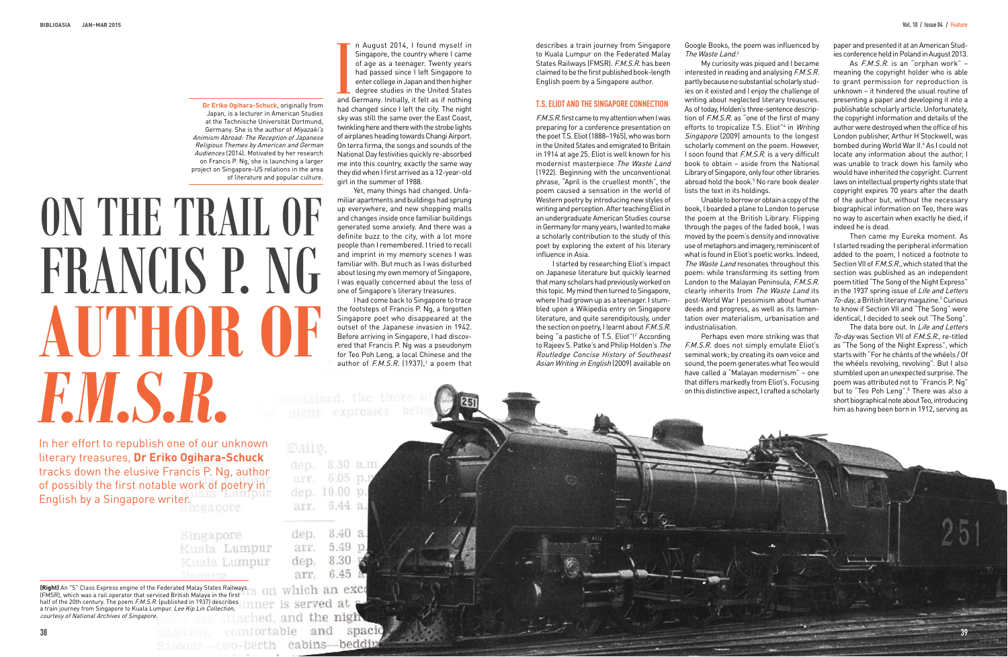In her effort to republish one of our unknown literary treasures, **Dr Eriko Ogihara-Schuck** tracks down the elusive Francis P. Ng, author of possibly the first notable work of poetry in English by a Singapore writer.

> Singapore Kuala Lumpur Kuala Lumpur **Dangrid**

and<br>and<br>had n August 2014, I found myself in Singapore, the country where I came of age as a teenager. Twenty years had passed since I left Singapore to enter college in Japan and then higher degree studies in the United States and Germany. Initially, it felt as if nothing had changed since I left the city. The night sky was still the same over the East Coast, twinkling here and there with the strobe lights of airplanes heading towards Changi Airport. On terra firma, the songs and sounds of the National Day festivities quickly re-absorbed me into this country, exactly the same way they did when I first arrived as a 12-year-old girl in the summer of 1988.

I had come back to Singapore to trace the footsteps of Francis P. Ng, a forgotten Singapore poet who disappeared at the outset of the Japanese invasion in 1942. Before arriving in Singapore, I had discovered that Francis P. Ng was a pseudonym for Teo Poh Leng, a local Chinese and the author of  $F.M.S.R.$  (1937),<sup>1</sup> a poem that

expresses beir

Yet, many things had changed. Unfamiliar apartments and buildings had sprung up everywhere, and new shopping malls and changes inside once familiar buildings generated some anxiety. And there was a definite buzz to the city, with a lot more people than I remembered. I tried to recall and imprint in my memory scenes I was familiar with. But much as I was disturbed about losing my own memory of Singapore, I was equally concerned about the loss of one of Singapore's literary treasures.

Google Books, the poem was influenced by The Waste Land.<sup>3</sup>

describes a train journey from Singapore to Kuala Lumpur on the Federated Malay States Railways (FMSR). F.M.S.R. has been claimed to be the first published book-length English poem by a Singapore author.

# **t.S. eLiot And the SinGApore connection**

F.M.S.R. first came to my attention when I was preparing for a conference presentation on the poet T.S. Eliot (1888–1965), who was born in the United States and emigrated to Britain in 1914 at age 25. Eliot is well known for his modernist masterpiece The Waste Land (1922). Beginning with the unconventional phrase, "April is the cruellest month", the poem caused a sensation in the world of Western poetry by introducing new styles of writing and perception. After teaching Eliot in an undergraduate American Studies course in Germany for many years, I wanted to make a scholarly contribution to the study of this poet by exploring the extent of his literary influence in Asia.

I started by researching Eliot's impact on Japanese literature but quickly learned that many scholars had previously worked on this topic. My mind then turned to Singapore, where I had grown up as a teenager. I stumbled upon a Wikipedia entry on Singapore literature, and quite serendipitously, under the section on poetry, I learnt about F.M.S.R. being "a pastiche of T.S. Eliot"!2 According to Rajeev S. Patke's and Philip Holden's The Routledge Concise History of Southeast Asian Writing in English (2009) available on

The data bore out. In Life and Letters To-day was Section VII of F.M.S.R., re-titled as "The Song of the Night Express", which starts with "For he chánts of the whéels / Of the whéels revolving, revolving". But I also stumbled upon an unexpected surprise. The poem was attributed not to "Francis P. Ng" but to "Teo Poh Leng".<sup>8</sup> There was also a short biographical note about Teo, introducing him as having been born in 1912, serving as

# ON THE TRAIL OF FRANCIS P. NG **AUTHOR OF**  *F.M.S.R.*

My curiosity was piqued and I became interested in reading and analysing F.M.S.R. partly because no substantial scholarly studies on it existed and I enjoy the challenge of writing about neglected literary treasures. As of today, Holden's three-sentence description of  $F.M.S.R.$  as "one of the first of many efforts to tropicalize T.S. Eliot"<sup>4</sup> in Writing Singapore (2009) amounts to the longest scholarly comment on the poem. However, I soon found that F.M.S.R. is a very difficult book to obtain – aside from the National Library of Singapore, only four other libraries abroad hold the book.<sup>5</sup> No rare book dealer lists the text in its holdings.

Unable to borrow or obtain a copy of the book, I boarded a plane to London to peruse the poem at the British Library. Flipping through the pages of the faded book, I was moved by the poem's density and innovative use of metaphors and imagery, reminiscent of what is found in Eliot's poetic works. Indeed, The Waste Land resonates throughout this poem: while transforming its setting from London to the Malayan Peninsula, F.M.S.R. clearly inherits from The Waste Land its post-World War I pessimism about human deeds and progress, as well as its lamentation over materialism, urbanisation and industrialisation.

Perhaps even more striking was that F.M.S.R. does not simply emulate Eliot's seminal work; by creating its own voice and sound, the poem generates what Teo would have called a "Malayan modernism" – one that differs markedly from Eliot's. Focusing on this distinctive aspect, I crafted a scholarly

| dep.         | 8.30 a.m   |  |
|--------------|------------|--|
| arr.         | $6.05$ p.m |  |
| dep. 10.00 p |            |  |
|              | 6.44       |  |

|      | 4U 1    |  |
|------|---------|--|
| 9.FF | 5.49 p. |  |
| dep. | 8.30    |  |
| агг  | 6.45    |  |
|      |         |  |

inner is served at comfortable and spacid Saloons-two-berth cabins-beddin

paper and presented it at an American Studies conference held in Poland in August 2013.

As F.M.S.R. is an "orphan work" – meaning the copyright holder who is able to grant permission for reproduction is unknown – it hindered the usual routine of presenting a paper and developing it into a publishable scholarly article. Unfortunately, the copyright information and details of the author were destroyed when the office of his London publisher, Arthur H Stockwell, was bombed during World War II.<sup>6</sup> As I could not locate any information about the author, I was unable to track down his family who would have inherited the copyright. Current laws on intellectual property rights state that copyright expires 70 years after the death of the author but, without the necessary biographical information on Teo, there was no way to ascertain when exactly he died, if indeed he is dead.

Then came my Eureka moment. As I started reading the peripheral information added to the poem, I noticed a footnote to Section VII of *F.M.S.R.*, which stated that the section was published as an independent poem titled "The Song of the Night Express" in the 1937 spring issue of Life and Letters To-day, a British literary magazine.<sup>7</sup> Curious to know if Section VII and "The Song" were identical, I decided to seek out "The Song".

**Dr Eriko Ogihara-Schuck**, originally from Japan, is a lecturer in American Studies at the Technische Universität Dortmund, Germany. She is the author of Mivazaki's Animism Abroad: The Reception of Japanese Religious Themes by American and German Audiences (2014). Motivated by her research on Francis P. Ng, she is launching a larger project on Singapore-US relations in the area of literature and popular culture.

**(Right)** An "S" Class Express engine of the Federated Malay States Railways (FMSR), which was a rail operator that serviced British Malaya in the first half of the 20th century. The poem F.M.S.R. (published in 1937) describes a train journey from Singapore to Kuala Lumpur. Lee Kip Lin Collection,<br>courtesy of National Archives of Singapore. courtesy of National Archives of Singapore.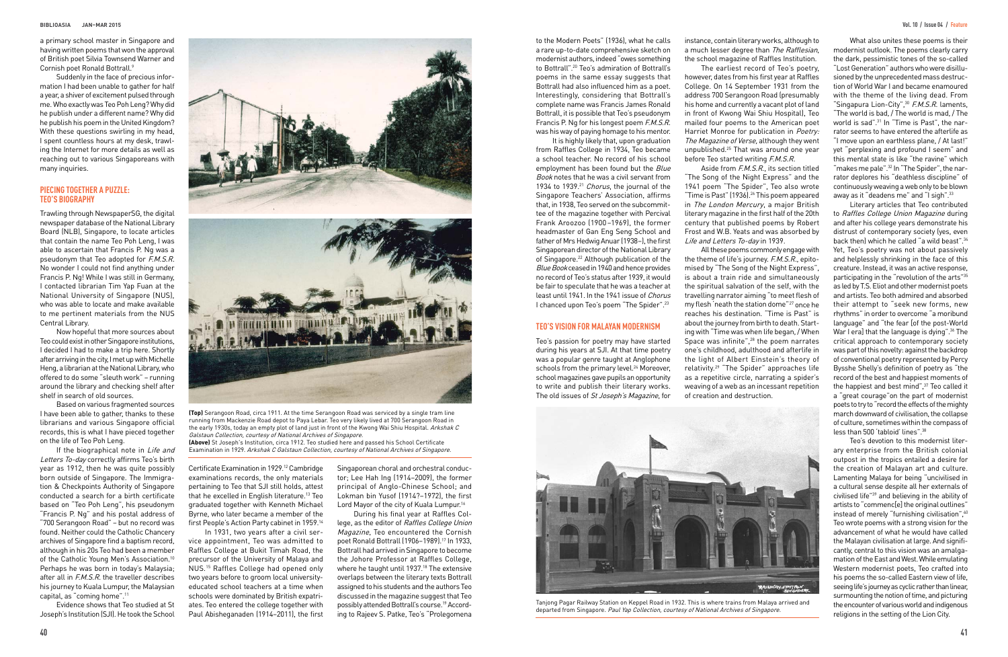a primary school master in Singapore and having written poems that won the approval of British poet Silvia Townsend Warner and Cornish poet Ronald Bottrall.9

Suddenly in the face of precious information I had been unable to gather for half a year, a shiver of excitement pulsed through me. Who exactly was Teo Poh Leng? Why did he publish under a different name? Why did he publish his poem in the United Kingdom? With these questions swirling in my head. I spent countless hours at my desk, trawling the Internet for more details as well as reaching out to various Singaporeans with many inquiries.

# **piecinG toGether A puzzLe: teo'S BioGrAphy**

Trawling through NewspaperSG, the digital newspaper database of the National Library Board (NLB), Singapore, to locate articles that contain the name Teo Poh Leng, I was able to ascertain that Francis P. Ng was a pseudonym that Teo adopted for  $\tilde{F}M.S.R.$ No wonder I could not find anything under Francis P. Ng! While I was still in Germany, I contacted librarian Tim Yap Fuan at the National University of Singapore (NUS), who was able to locate and make available to me pertinent materials from the NUS Central Library.

If the biographical note in Life and Letters To-day correctly affirms Teo's birth year as 1912, then he was quite possibly born outside of Singapore. The Immigration & Checkpoints Authority of Singapore conducted a search for a birth certificate based on "Teo Poh Leng", his pseudonym "Francis P. Ng" and his postal address of "700 Serangoon Road" – but no record was found. Neither could the Catholic Chancery archives of Singapore find a baptism record, although in his 20s Teo had been a member of the Catholic Young Men's Association.<sup>10</sup> Perhaps he was born in today's Malaysia; after all in F.M.S.R. the traveller describes his journey to Kuala Lumpur, the Malaysian capital, as "coming home".11

Now hopeful that more sources about Teo could exist in other Singapore institutions, I decided I had to make a trip here. Shortly after arriving in the city, I met up with Michelle Heng, a librarian at the National Library, who offered to do some "sleuth work" – running around the library and checking shelf after shelf in search of old sources.

> Singaporean choral and orchestral conductor; Lee Hah Ing (1914–2009), the former principal of Anglo-Chinese School; and Lokman bin Yusof (1914?–1972), the first Lord Mayor of the city of Kuala Lumpur.<sup>16</sup>

Based on various fragmented sources I have been able to gather, thanks to these librarians and various Singapore official records, this is what I have pieced together on the life of Teo Poh Leng.

Aside from F.M.S.R., its section titled "The Song of the Night Express" and the 1941 poem "The Spider", Teo also wrote "Time is Past" (1936).26 This poem appeared in The London Mercury, a major British literary magazine in the first half of the 20th century that published poems by Robert Frost and W.B. Yeats and was absorbed by Life and Letters To-day in 1939.

Evidence shows that Teo studied at St Joseph's Institution (SJI). He took the School



Certificate Examination in 1929.12 Cambridge examinations records, the only materials pertaining to Teo that SJI still holds, attest that he excelled in English literature.<sup>13</sup> Teo graduated together with Kenneth Michael Byrne, who later became a member of the first People's Action Party cabinet in 1959.14

What also unites these poems is their modernist outlook. The poems clearly carry the dark, pessimistic tones of the so-called "Lost Generation" authors who were disillusioned by the unprecedented mass destruction of World War I and became enamoured with the theme of the living dead. From "Singapura Lion-City", 30 F.M.S.R. laments, "The world is bad, / The world is mad, / The world is sad".31 In "Time is Past", the narrator seems to have entered the afterlife as "I move upon an earthless plane, / At last!" yet "perplexing and profound I seem" and this mental state is like "the ravine" which "makes me pale".<sup>32</sup> In "The Spider", the narrator deplores his "deathless discipline" of continuously weaving a web only to be blown away as it "deadens me" and "I sigh".<sup>33</sup>

In 1931, two years after a civil service appointment, Teo was admitted to Raffles College at Bukit Timah Road, the precursor of the University of Malaya and NUS.15 Raffles College had opened only two years before to groom local universityeducated school teachers at a time when schools were dominated by British expatriates. Teo entered the college together with Paul Abisheganaden (1914–2011), the first

During his final year at Raffles College, as the editor of Raffles College Union Magazine, Teo encountered the Cornish poet Ronald Bottrall (1906–1989).17 In 1933, Bottrall had arrived in Singapore to become the Johore Professor at Raffles College, where he taught until 1937.<sup>18</sup> The extensive overlaps between the literary texts Bottrall assigned to his students and the authors Teo discussed in the magazine suggest that Teo possibly attended Bottrall's course.19 According to Rajeev S. Patke, Teo's "Prolegomena

instance, contain literary works, although to a much lesser degree than The Rafflesian, the school magazine of Raffles Institution. The earliest record of Teo's poetry, however, dates from his first year at Raffles College. On 14 September 1931 from the address 700 Serangoon Road (presumably his home and currently a vacant plot of land in front of Kwong Wai Shiu Hospital), Teo mailed four poems to the American poet Harriet Monroe for publication in Poetry: The Magazine of Verse, although they went unpublished.25 That was around one year

before Teo started writing F.M.S.R.

Teo's passion for poetry may have started during his years at SJI. At that time poetry was a popular genre taught at Anglophone schools from the primary level.<sup>24</sup> Moreover, school magazines gave pupils an opportunity to write and publish their literary works. The old issues of St Joseph's Magazine, for

All these poems commonly engage with the theme of life's journey. F.M.S.R., epitomised by "The Song of the Night Express", is about a train ride and simultaneously the spiritual salvation of the self, with the travelling narrator aiming "to meet flesh of my flesh 'neath the station dome"27 once he reaches his destination. "Time is Past" is about the journey from birth to death. Starting with "Time was when life began, / When Space was infinite",28 the poem narrates one's childhood, adulthood and afterlife in the light of Albert Einstein's theory of relativity.29 "The Spider" approaches life as a repetitive circle, narrating a spider's weaving of a web as an incessant repetition of creation and destruction.



Tanjong Pagar Railway Station on Keppel Road in 1932. This is where trains from Malaya arrived and departed from Singapore. Paul Yap Collection, courtesy of National Archives of Singapore.

Literary articles that Teo contributed to Raffles College Union Magazine during and after his college years demonstrate his distrust of contemporary society (yes, even back then) which he called "a wild beast".34 Yet, Teo's poetry was not about passively and helplessly shrinking in the face of this creature. Instead, it was an active response, participating in the "revolution of the arts"35 as led by T.S. Eliot and other modernist poets and artists. Teo both admired and absorbed their attempt to "seek new forms, new rhythms" in order to overcome "a moribund language" and "the fear [of the post-World War I era] that the language is dying".<sup>36</sup> The critical approach to contemporary society was part of this novelty: against the backdrop of conventional poetry represented by Percy Bysshe Shelly's definition of poetry as "the record of the best and happiest moments of the happiest and best mind",<sup>37</sup> Teo called it a "great courage"on the part of modernist poets to try to "record the effects of the mighty march downward of civilisation, the collapse of culture, sometimes within the compass of less than 500 'tabloid' lines".38

Teo's devotion to this modernist literary enterprise from the British colonial outpost in the tropics entailed a desire for the creation of Malayan art and culture. Lamenting Malaya for being "uncivilised in a cultural sense despite all her externals of civilised life"39 and believing in the ability of artists to "commenc[e] the original outlines" instead of merely "furnishing civilisation",40 Teo wrote poems with a strong vision for the advancement of what he would have called the Malayan civilisation at large. And significantly, central to this vision was an amalgamation of the East and West. While emulating Western modernist poets, Teo crafted into his poems the so-called Eastern view of life, seeing life's journey as cyclic rather than linear, surmounting the notion of time, and picturing the encounter of various world and indigenous religions in the setting of the Lion City.

to the Modern Poets" (1936), what he calls a rare up-to-date comprehensive sketch on modernist authors, indeed "owes something to Bottrall".20 Teo's admiration of Bottrall's poems in the same essay suggests that Bottrall had also influenced him as a poet. Interestingly, considering that Bottrall's complete name was Francis James Ronald Bottrall, it is possible that Teo's pseudonym Francis P. Ng for his longest poem F.M.S.R. was his way of paying homage to his mentor.

It is highly likely that, upon graduation from Raffles College in 1934, Teo became a school teacher. No record of his school employment has been found but the *Blue* Book notes that he was a civil servant from 1934 to 1939.<sup>21</sup> Chorus, the journal of the Singapore Teachers' Association, affirms that, in 1938, Teo served on the subcommittee of the magazine together with Percival Frank Aroozoo (1900 –1969), the former headmaster of Gan Eng Seng School and father of Mrs Hedwig Anuar (1938–), the first Singaporean director of the National Library of Singapore.<sup>22</sup> Although publication of the Blue Book ceased in 1940 and hence provides no record of Teo's status after 1939, it would be fair to speculate that he was a teacher at least until 1941. In the 1941 issue of Chorus I chanced upon Teo's poem "The Spider".23

# **teo'S ViSion for MALAyAn ModerniSM**

**(Top)** Serangoon Road, circa 1911. At the time Serangoon Road was serviced by a single tram line running from Mackenzie Road depot to Paya Lebar. Teo very likely lived at 700 Serangoon Road in the early 1930s, today an empty plot of land just in front of the Kwong Wai Shiu Hospital. Arkshak C Galstaun Collection, courtesy of National Archives of Singapore.

**(Above)** St Joseph's Institution, circa 1912. Teo studied here and passed his School Certificate Examination in 1929. Arkshak C Galstaun Collection, courtesy of National Archives of Singapore.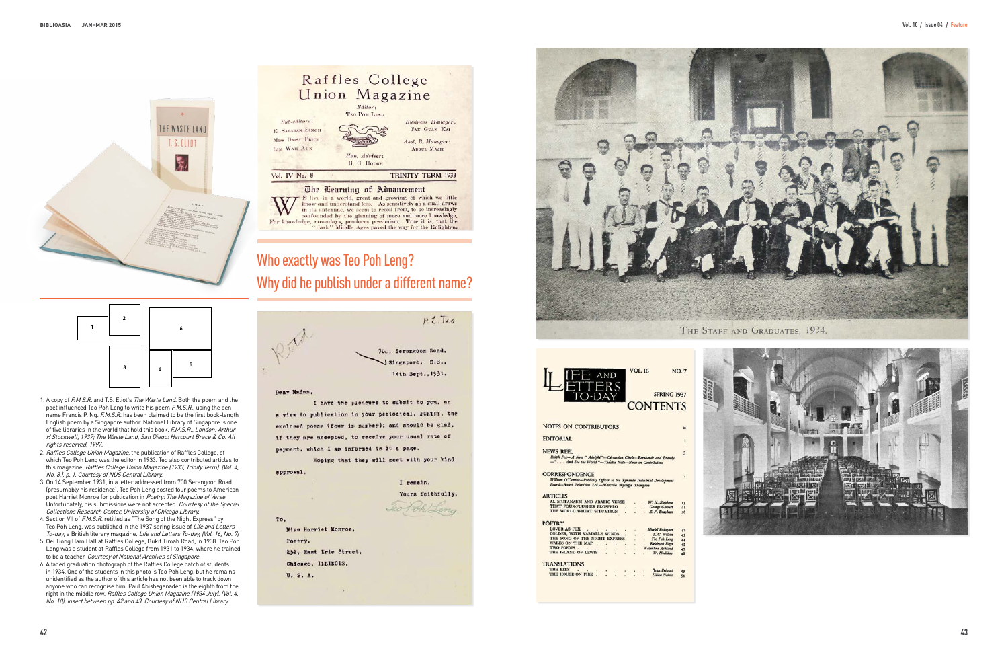# Who exactly was Teo Poh Leng? Why did he publish under a different name?



I have the pleasure to submit to you, as a view to publication in your periodical, FOETFY, the enclosed poems (four in number); and should be glad. if they are accepted, to receive your usual rate of payment, which I am informed in 3t a page.

Hoping that they will meet with your kind spproval.

I remain. Yours feithfully, Jeo Poh Leng Wiss Harriet Monroe.

232, East Erie Street.

 $\sim$ 

Chicago, ILLINOIS.

U. S. A.

Poetry.

To.







| <b>ARTICLES</b>               |  |  |        |                      |                  |                     |  |
|-------------------------------|--|--|--------|----------------------|------------------|---------------------|--|
| AL MUTANABBI AND ARABIC VERSE |  |  |        |                      |                  | W. H. Stephens      |  |
| THAT FOUR-FLUSHER PROSPERO    |  |  |        | $\ddot{\phantom{0}}$ | . George Garrett |                     |  |
| THE WORLD WHEAT SITUATION     |  |  |        |                      | . E.F. Brayham   |                     |  |
|                               |  |  |        |                      |                  |                     |  |
| <b>POETRY</b>                 |  |  |        |                      |                  |                     |  |
| LOVER AS FOX                  |  |  |        | ä                    |                  | Muriel Rukeyser     |  |
| COLDER, WITH VARIABLE WINDS   |  |  |        | ÷                    |                  | . T. C. Wilson      |  |
| THE SONG OF THE NIGHT EXPRESS |  |  |        |                      |                  | . Teo Pch Leng      |  |
| <b>WALES ON THE MAP</b>       |  |  | $\sim$ | a i                  |                  | Keidrych Rhys       |  |
| TWO POEMS.                    |  |  |        |                      |                  | Valentine Ackland   |  |
| THE ISLAND OF LEWIS           |  |  |        |                      |                  | W. Halliday         |  |
|                               |  |  |        |                      |                  |                     |  |
| <b>TRANSLATIONS</b>           |  |  |        |                      |                  |                     |  |
| <b>THE BEES</b>               |  |  |        | v.                   |                  | <b>Jean Prévoit</b> |  |
| THE HOUSE ON FIRE             |  |  |        |                      |                  | Lilika Nakos        |  |
|                               |  |  |        |                      |                  |                     |  |
|                               |  |  |        |                      |                  |                     |  |
|                               |  |  |        |                      |                  |                     |  |



- 1. A copy of F.M.S.R. and T.S. Eliot's The Waste Land. Both the poem and the poet influenced Teo Poh Leng to write his poem F.M.S.R., using the pen name Francis P. Ng. F.M.S.R. has been claimed to be the first book-length English poem by a Singapore author. National Library of Singapore is one of five libraries in the world that hold this book. F.M.S.R., London: Arthur H Stockwell, 1937; The Waste Land, San Diego: Harcourt Brace & Co. All rights reserved, 1997.
- 2. Raffles College Union Magazine, the publication of Raffles College, of which Teo Poh Leng was the editor in 1933. Teo also contributed articles to this magazine. Raffles College Union Magazine (1933, Trinity Term). (Vol. 4, No. 8.), p. 1. Courtesy of NUS Central Library.
- 3. On 14 September 1931, in a letter addressed from 700 Serangoon Road (presumably his residence), Teo Poh Leng posted four poems to American poet Harriet Monroe for publication in Poetry: The Magazine of Verse. Unfortunately, his submissions were not accepted. Courtesy of the Special Collections Research Center, University of Chicago Library.
- 4. Section VII of F.M.S.R. retitled as "The Song of the Night Express" by Teo Poh Leng, was published in the 1937 spring issue of Life and Letters To-day, a British literary magazine. Life and Letters To-day, (Vol. 16, No. 7)
- 5. Oei Tiong Ham Hall at Raffles College, Bukit Timah Road, in 1938. Teo Poh Leng was a student at Raffles College from 1931 to 1934, where he trained to be a teacher. Courtesy of National Archives of Singapore.
- 6. A faded graduation photograph of the Raffles College batch of students in 1934. One of the students in this photo is Teo Poh Leng, but he remains unidentified as the author of this article has not been able to track down anyone who can recognise him. Paul Abisheganaden is the eighth from the right in the middle row. Raffles College Union Magazine (1934 July). (Vol. 4, No. 10), insert between pp. 42 and 43. Courtesy of NUS Central Library.



For knowledge, nowadays, produces be seen to recoil from, to be increasingly<br>
For knowledge, nowadays, produces pessimism. True it is, that the<br>
"dark" Middle Ages paved the way for the Enlighten-